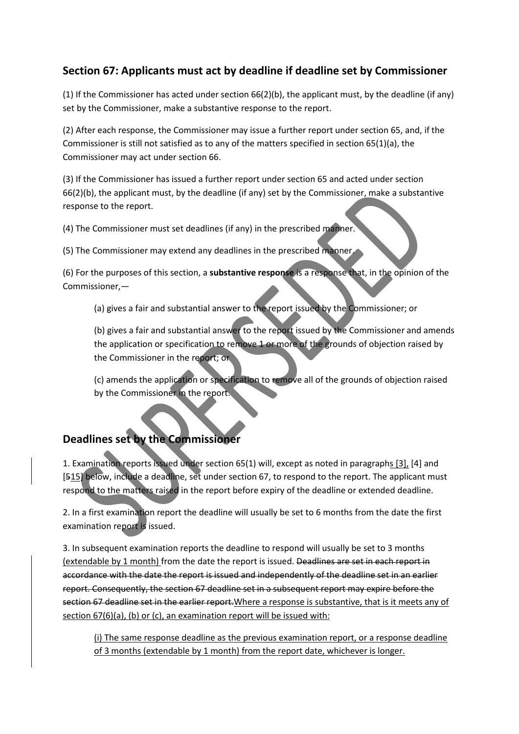## **Section 67: Applicants must act by deadline if deadline set by Commissioner**

(1) If the Commissioner has acted under section 66(2)(b), the applicant must, by the deadline (if any) set by the Commissioner, make a substantive response to the report.

(2) After each response, the Commissioner may issue a further report under section 65, and, if the Commissioner is still not satisfied as to any of the matters specified in section 65(1)(a), the Commissioner may act under section 66.

(3) If the Commissioner has issued a further report under section 65 and acted under section 66(2)(b), the applicant must, by the deadline (if any) set by the Commissioner, make a substantive response to the report.

(4) The Commissioner must set deadlines (if any) in the prescribed manner.

(5) The Commissioner may extend any deadlines in the prescribed manner.

(6) For the purposes of this section, a **substantive response** is a response that, in the opinion of the Commissioner,—

(a) gives a fair and substantial answer to the report issued by the Commissioner; or

(b) gives a fair and substantial answer to the report issued by the Commissioner and amends the application or specification to remove 1 or more of the grounds of objection raised by the Commissioner in the report; or

(c) amends the application or specification to remove all of the grounds of objection raised by the Commissioner in the report.

# **Deadlines set by the Commissioner**

1. Examination reports issued under section 65(1) will, except as noted in paragraphs [3], [4] and [515] below, include a deadline, set under section 67, to respond to the report. The applicant must respond to the matters raised in the report before expiry of the deadline or extended deadline.

2. In a first examination report the deadline will usually be set to 6 months from the date the first examination report is issued.

3. In subsequent examination reports the deadline to respond will usually be set to 3 months (extendable by 1 month) from the date the report is issued. Deadlines are set in each report in accordance with the date the report is issued and independently of the deadline set in an earlier report. Consequently, the section 67 deadline set in a subsequent report may expire before the section 67 deadline set in the earlier report. Where a response is substantive, that is it meets any of section 67(6)(a), (b) or (c), an examination report will be issued with:

(i) The same response deadline as the previous examination report, or a response deadline of 3 months (extendable by 1 month) from the report date, whichever is longer.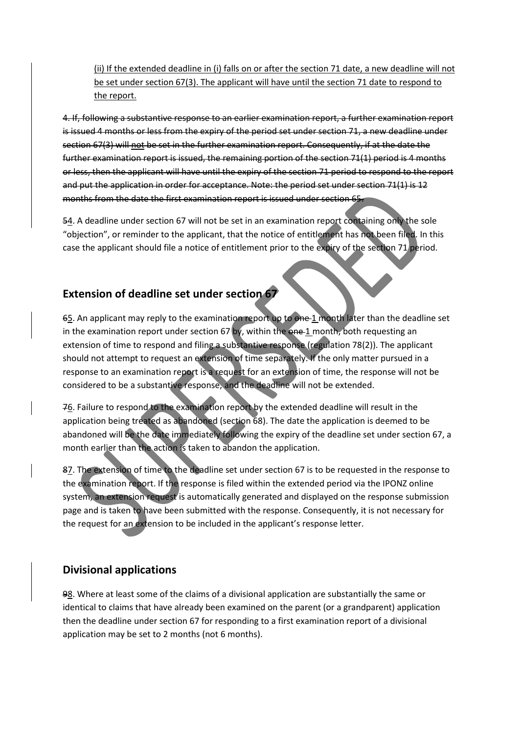(ii) If the extended deadline in (i) falls on or after the section 71 date, a new deadline will not be set under section 67(3). The applicant will have until the section 71 date to respond to the report.

4. If, following a substantive response to an earlier examination report, a further examination report is issued 4 months or less from the expiry of the period set under section 71, a new deadline under section 67(3) will not be set in the further examination report. Consequently, if at the date the further examination report is issued, the remaining portion of the section 71(1) period is 4 months or less, then the applicant will have until the expiry of the section 71 period to respond to the report and put the application in order for acceptance. Note: the period set under section 71(1) is 12 months from the date the first examination report is issued under section 65.

54. A deadline under section 67 will not be set in an examination report containing only the sole "objection", or reminder to the applicant, that the notice of entitlement has not been filed. In this case the applicant should file a notice of entitlement prior to the expiry of the section 71 period.

#### **Extension of deadline set under section 67**

65. An applicant may reply to the examination report up to one 1 month later than the deadline set in the examination report under section  $67$  by, within the one 1 month, both requesting an extension of time to respond and filing a substantive response (regulation 78(2)). The applicant should not attempt to request an extension of time separately. If the only matter pursued in a response to an examination report is a request for an extension of time, the response will not be considered to be a substantive response, and the deadline will not be extended.

76. Failure to respond to the examination report by the extended deadline will result in the application being treated as abandoned (section 68). The date the application is deemed to be abandoned will be the date immediately following the expiry of the deadline set under section 67, a month earlier than the action is taken to abandon the application.

87. The extension of time to the deadline set under section 67 is to be requested in the response to the examination report. If the response is filed within the extended period via the IPONZ online system, an extension request is automatically generated and displayed on the response submission page and is taken to have been submitted with the response. Consequently, it is not necessary for the request for an extension to be included in the applicant's response letter.

#### **Divisional applications**

98. Where at least some of the claims of a divisional application are substantially the same or identical to claims that have already been examined on the parent (or a grandparent) application then the deadline under section 67 for responding to a first examination report of a divisional application may be set to 2 months (not 6 months).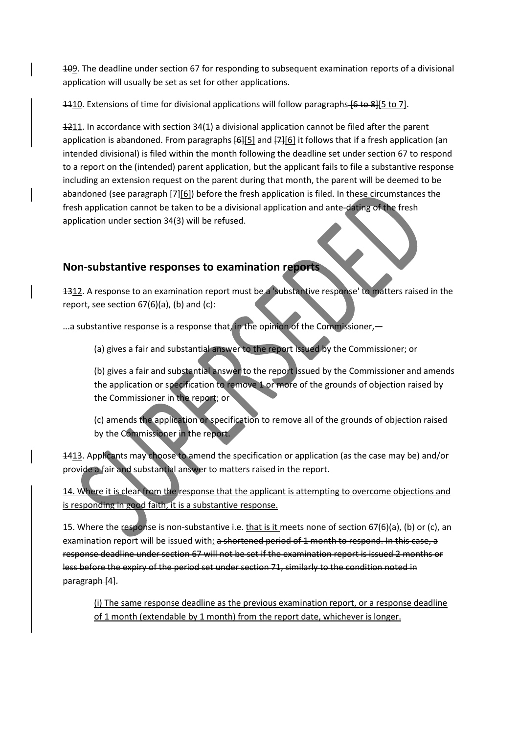109. The deadline under section 67 for responding to subsequent examination reports of a divisional application will usually be set as set for other applications.

1110. Extensions of time for divisional applications will follow paragraphs [6 to 8][5 to 7].

1211. In accordance with section 34(1) a divisional application cannot be filed after the parent application is abandoned. From paragraphs  $[6][5]$  and  $[7][6]$  it follows that if a fresh application (an intended divisional) is filed within the month following the deadline set under section 67 to respond to a report on the (intended) parent application, but the applicant fails to file a substantive response including an extension request on the parent during that month, the parent will be deemed to be abandoned (see paragraph  $[7][6]$ ) before the fresh application is filed. In these circumstances the fresh application cannot be taken to be a divisional application and ante-dating of the fresh application under section 34(3) will be refused.

# **Non-substantive responses to examination reports**

1312. A response to an examination report must be a 'substantive response' to matters raised in the report, see section  $67(6)(a)$ , (b) and (c):

...a substantive response is a response that, in the opinion of the Commissioner, -

(a) gives a fair and substantial answer to the report issued by the Commissioner; or

(b) gives a fair and substantial answer to the report issued by the Commissioner and amends the application or specification to remove 1 or more of the grounds of objection raised by the Commissioner in the report; or

(c) amends the application or specification to remove all of the grounds of objection raised by the Commissioner in the report.

1413. Applicants may choose to amend the specification or application (as the case may be) and/or provide a fair and substantial answer to matters raised in the report.

14. Where it is clear from the response that the applicant is attempting to overcome objections and is responding in good faith, it is a substantive response.

15. Where the response is non-substantive i.e. that is it meets none of section  $67(6)(a)$ , (b) or (c), an examination report will be issued with: a shortened period of 1 month to respond. In this case, a response deadline under section 67 will not be set if the examination report is issued 2 months or less before the expiry of the period set under section 71, similarly to the condition noted in paragraph [4].

(i) The same response deadline as the previous examination report, or a response deadline of 1 month (extendable by 1 month) from the report date, whichever is longer.